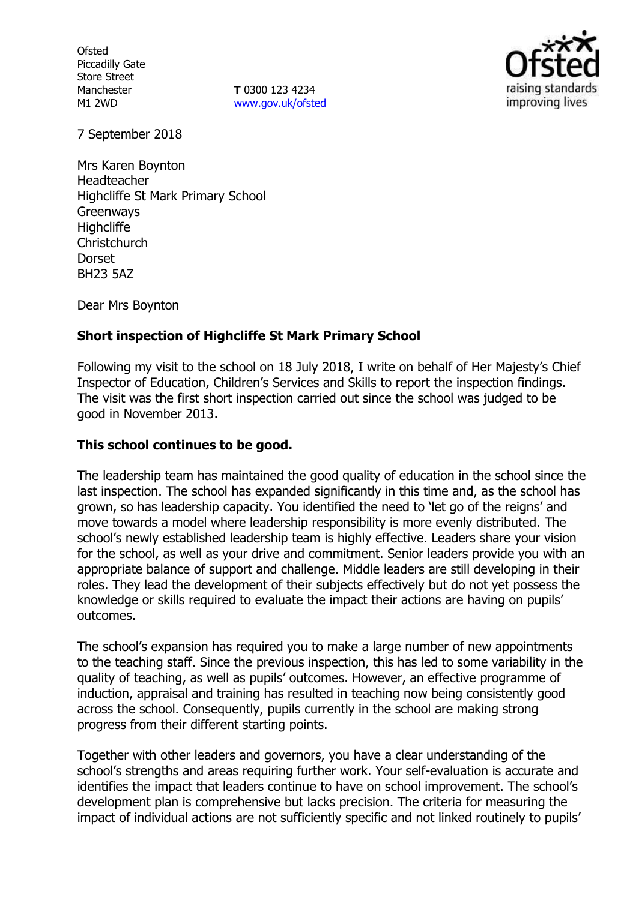**Ofsted** Piccadilly Gate Store Street Manchester M1 2WD

**T** 0300 123 4234 www.gov.uk/ofsted



7 September 2018

Mrs Karen Boynton Headteacher Highcliffe St Mark Primary School **Greenways Highcliffe Christchurch Dorset** BH23 5AZ

Dear Mrs Boynton

# **Short inspection of Highcliffe St Mark Primary School**

Following my visit to the school on 18 July 2018, I write on behalf of Her Majesty's Chief Inspector of Education, Children's Services and Skills to report the inspection findings. The visit was the first short inspection carried out since the school was judged to be good in November 2013.

#### **This school continues to be good.**

The leadership team has maintained the good quality of education in the school since the last inspection. The school has expanded significantly in this time and, as the school has grown, so has leadership capacity. You identified the need to 'let go of the reigns' and move towards a model where leadership responsibility is more evenly distributed. The school's newly established leadership team is highly effective. Leaders share your vision for the school, as well as your drive and commitment. Senior leaders provide you with an appropriate balance of support and challenge. Middle leaders are still developing in their roles. They lead the development of their subjects effectively but do not yet possess the knowledge or skills required to evaluate the impact their actions are having on pupils' outcomes.

The school's expansion has required you to make a large number of new appointments to the teaching staff. Since the previous inspection, this has led to some variability in the quality of teaching, as well as pupils' outcomes. However, an effective programme of induction, appraisal and training has resulted in teaching now being consistently good across the school. Consequently, pupils currently in the school are making strong progress from their different starting points.

Together with other leaders and governors, you have a clear understanding of the school's strengths and areas requiring further work. Your self-evaluation is accurate and identifies the impact that leaders continue to have on school improvement. The school's development plan is comprehensive but lacks precision. The criteria for measuring the impact of individual actions are not sufficiently specific and not linked routinely to pupils'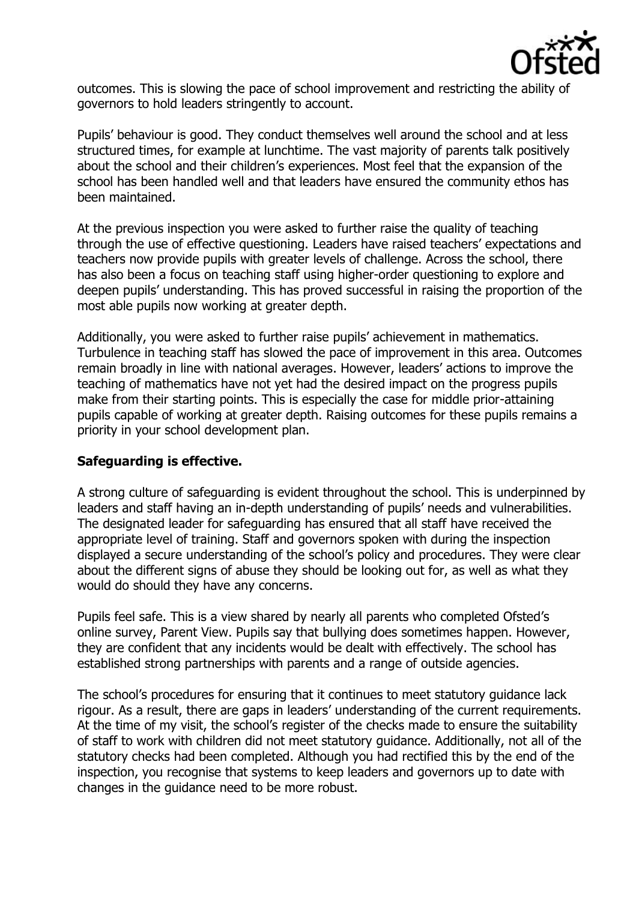

outcomes. This is slowing the pace of school improvement and restricting the ability of governors to hold leaders stringently to account.

Pupils' behaviour is good. They conduct themselves well around the school and at less structured times, for example at lunchtime. The vast majority of parents talk positively about the school and their children's experiences. Most feel that the expansion of the school has been handled well and that leaders have ensured the community ethos has been maintained.

At the previous inspection you were asked to further raise the quality of teaching through the use of effective questioning. Leaders have raised teachers' expectations and teachers now provide pupils with greater levels of challenge. Across the school, there has also been a focus on teaching staff using higher-order questioning to explore and deepen pupils' understanding. This has proved successful in raising the proportion of the most able pupils now working at greater depth.

Additionally, you were asked to further raise pupils' achievement in mathematics. Turbulence in teaching staff has slowed the pace of improvement in this area. Outcomes remain broadly in line with national averages. However, leaders' actions to improve the teaching of mathematics have not yet had the desired impact on the progress pupils make from their starting points. This is especially the case for middle prior-attaining pupils capable of working at greater depth. Raising outcomes for these pupils remains a priority in your school development plan.

# **Safeguarding is effective.**

A strong culture of safeguarding is evident throughout the school. This is underpinned by leaders and staff having an in-depth understanding of pupils' needs and vulnerabilities. The designated leader for safeguarding has ensured that all staff have received the appropriate level of training. Staff and governors spoken with during the inspection displayed a secure understanding of the school's policy and procedures. They were clear about the different signs of abuse they should be looking out for, as well as what they would do should they have any concerns.

Pupils feel safe. This is a view shared by nearly all parents who completed Ofsted's online survey, Parent View. Pupils say that bullying does sometimes happen. However, they are confident that any incidents would be dealt with effectively. The school has established strong partnerships with parents and a range of outside agencies.

The school's procedures for ensuring that it continues to meet statutory guidance lack rigour. As a result, there are gaps in leaders' understanding of the current requirements. At the time of my visit, the school's register of the checks made to ensure the suitability of staff to work with children did not meet statutory guidance. Additionally, not all of the statutory checks had been completed. Although you had rectified this by the end of the inspection, you recognise that systems to keep leaders and governors up to date with changes in the guidance need to be more robust.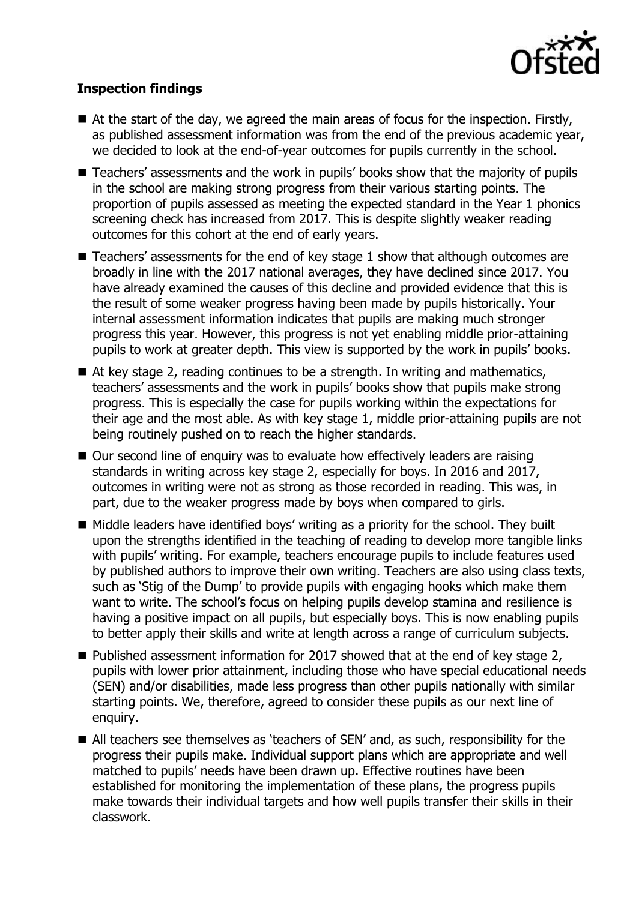

# **Inspection findings**

- $\blacksquare$  At the start of the day, we agreed the main areas of focus for the inspection. Firstly, as published assessment information was from the end of the previous academic year, we decided to look at the end-of-year outcomes for pupils currently in the school.
- Teachers' assessments and the work in pupils' books show that the majority of pupils in the school are making strong progress from their various starting points. The proportion of pupils assessed as meeting the expected standard in the Year 1 phonics screening check has increased from 2017. This is despite slightly weaker reading outcomes for this cohort at the end of early years.
- Teachers' assessments for the end of key stage 1 show that although outcomes are broadly in line with the 2017 national averages, they have declined since 2017. You have already examined the causes of this decline and provided evidence that this is the result of some weaker progress having been made by pupils historically. Your internal assessment information indicates that pupils are making much stronger progress this year. However, this progress is not yet enabling middle prior-attaining pupils to work at greater depth. This view is supported by the work in pupils' books.
- At key stage 2, reading continues to be a strength. In writing and mathematics, teachers' assessments and the work in pupils' books show that pupils make strong progress. This is especially the case for pupils working within the expectations for their age and the most able. As with key stage 1, middle prior-attaining pupils are not being routinely pushed on to reach the higher standards.
- Our second line of enquiry was to evaluate how effectively leaders are raising standards in writing across key stage 2, especially for boys. In 2016 and 2017, outcomes in writing were not as strong as those recorded in reading. This was, in part, due to the weaker progress made by boys when compared to girls.
- Middle leaders have identified boys' writing as a priority for the school. They built upon the strengths identified in the teaching of reading to develop more tangible links with pupils' writing. For example, teachers encourage pupils to include features used by published authors to improve their own writing. Teachers are also using class texts, such as 'Stig of the Dump' to provide pupils with engaging hooks which make them want to write. The school's focus on helping pupils develop stamina and resilience is having a positive impact on all pupils, but especially boys. This is now enabling pupils to better apply their skills and write at length across a range of curriculum subjects.
- $\blacksquare$  Published assessment information for 2017 showed that at the end of key stage 2, pupils with lower prior attainment, including those who have special educational needs (SEN) and/or disabilities, made less progress than other pupils nationally with similar starting points. We, therefore, agreed to consider these pupils as our next line of enquiry.
- All teachers see themselves as 'teachers of SEN' and, as such, responsibility for the progress their pupils make. Individual support plans which are appropriate and well matched to pupils' needs have been drawn up. Effective routines have been established for monitoring the implementation of these plans, the progress pupils make towards their individual targets and how well pupils transfer their skills in their classwork.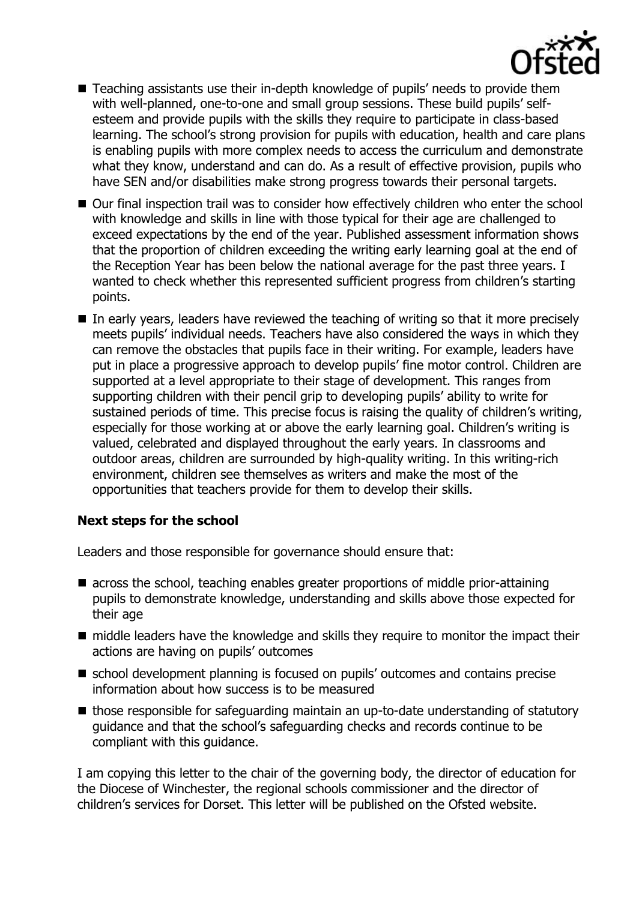

- Teaching assistants use their in-depth knowledge of pupils' needs to provide them with well-planned, one-to-one and small group sessions. These build pupils' selfesteem and provide pupils with the skills they require to participate in class-based learning. The school's strong provision for pupils with education, health and care plans is enabling pupils with more complex needs to access the curriculum and demonstrate what they know, understand and can do. As a result of effective provision, pupils who have SEN and/or disabilities make strong progress towards their personal targets.
- Our final inspection trail was to consider how effectively children who enter the school with knowledge and skills in line with those typical for their age are challenged to exceed expectations by the end of the year. Published assessment information shows that the proportion of children exceeding the writing early learning goal at the end of the Reception Year has been below the national average for the past three years. I wanted to check whether this represented sufficient progress from children's starting points.
- In early years, leaders have reviewed the teaching of writing so that it more precisely meets pupils' individual needs. Teachers have also considered the ways in which they can remove the obstacles that pupils face in their writing. For example, leaders have put in place a progressive approach to develop pupils' fine motor control. Children are supported at a level appropriate to their stage of development. This ranges from supporting children with their pencil grip to developing pupils' ability to write for sustained periods of time. This precise focus is raising the quality of children's writing, especially for those working at or above the early learning goal. Children's writing is valued, celebrated and displayed throughout the early years. In classrooms and outdoor areas, children are surrounded by high-quality writing. In this writing-rich environment, children see themselves as writers and make the most of the opportunities that teachers provide for them to develop their skills.

# **Next steps for the school**

Leaders and those responsible for governance should ensure that:

- across the school, teaching enables greater proportions of middle prior-attaining pupils to demonstrate knowledge, understanding and skills above those expected for their age
- middle leaders have the knowledge and skills they require to monitor the impact their actions are having on pupils' outcomes
- school development planning is focused on pupils' outcomes and contains precise information about how success is to be measured
- those responsible for safeguarding maintain an up-to-date understanding of statutory guidance and that the school's safeguarding checks and records continue to be compliant with this guidance.

I am copying this letter to the chair of the governing body, the director of education for the Diocese of Winchester, the regional schools commissioner and the director of children's services for Dorset. This letter will be published on the Ofsted website.